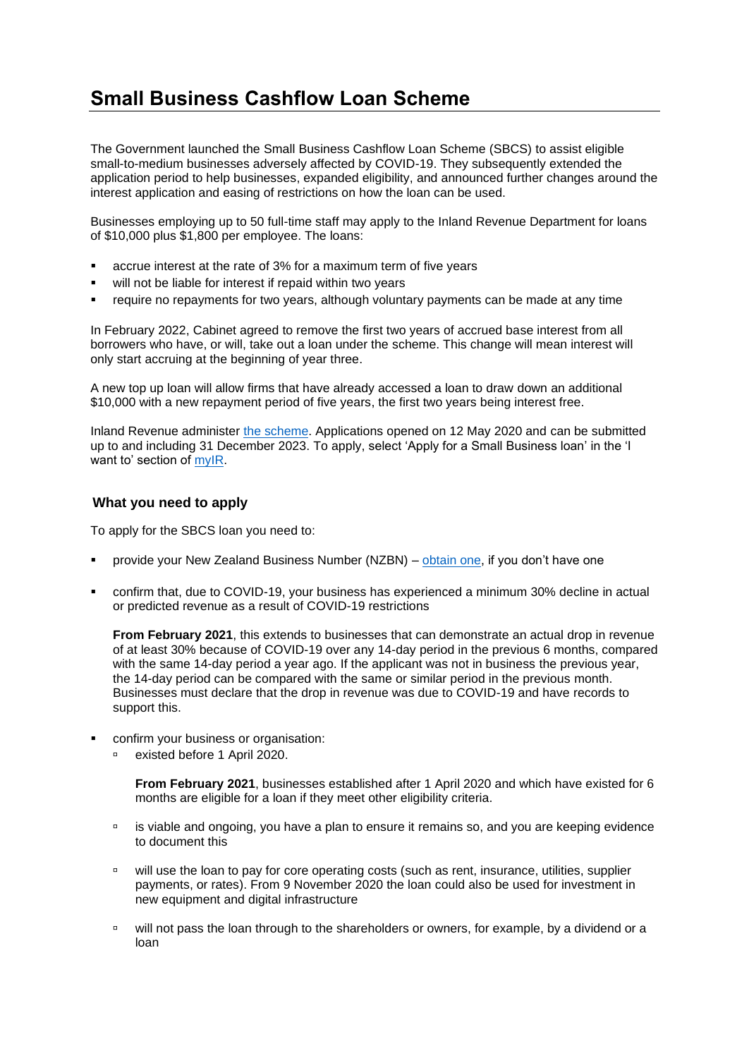## **Small Business Cashflow Loan Scheme**

The Government launched the Small Business Cashflow Loan Scheme (SBCS) to assist eligible small-to-medium businesses adversely affected by COVID-19. They subsequently extended the application period to help businesses, expanded eligibility, and announced further changes around the interest application and easing of restrictions on how the loan can be used.

Businesses employing up to 50 full-time staff may apply to the Inland Revenue Department for loans of \$10,000 plus \$1,800 per employee. The loans:

- accrue interest at the rate of 3% for a maximum term of five years
- will not be liable for interest if repaid within two years
- require no repayments for two years, although voluntary payments can be made at any time

In February 2022, Cabinet agreed to remove the first two years of accrued base interest from all borrowers who have, or will, take out a loan under the scheme. This change will mean interest will only start accruing at the beginning of year three.

A new top up loan will allow firms that have already accessed a loan to draw down an additional \$10,000 with a new repayment period of five years, the first two years being interest free.

Inland Revenue administer [the scheme.](https://www.ird.govt.nz/covid-19/business-and-organisations/small-business-cash-flow-loan) Applications opened on 12 May 2020 and can be submitted up to and including 31 December 2023. To apply, select 'Apply for a Small Business loan' in the 'I want to' section of [myIR.](https://myir.ird.govt.nz/eservices/home/_/#1)

## **What you need to apply**

To apply for the SBCS loan you need to:

- provide your New Zealand Business Number (NZBN) [obtain one,](https://www.nzbn.govt.nz/) if you don't have one
- confirm that, due to COVID-19, your business has experienced a minimum 30% decline in actual or predicted revenue as a result of COVID-19 restrictions

**From February 2021**, this extends to businesses that can demonstrate an actual drop in revenue of at least 30% because of COVID-19 over any 14-day period in the previous 6 months, compared with the same 14-day period a year ago. If the applicant was not in business the previous year, the 14-day period can be compared with the same or similar period in the previous month. Businesses must declare that the drop in revenue was due to COVID-19 and have records to support this.

- confirm your business or organisation:
	- existed before 1 April 2020.

**From February 2021**, businesses established after 1 April 2020 and which have existed for 6 months are eligible for a loan if they meet other eligibility criteria.

- is viable and ongoing, you have a plan to ensure it remains so, and you are keeping evidence to document this
- <sup>o</sup> will use the loan to pay for core operating costs (such as rent, insurance, utilities, supplier payments, or rates). From 9 November 2020 the loan could also be used for investment in new equipment and digital infrastructure
- □ will not pass the loan through to the shareholders or owners, for example, by a dividend or a loan